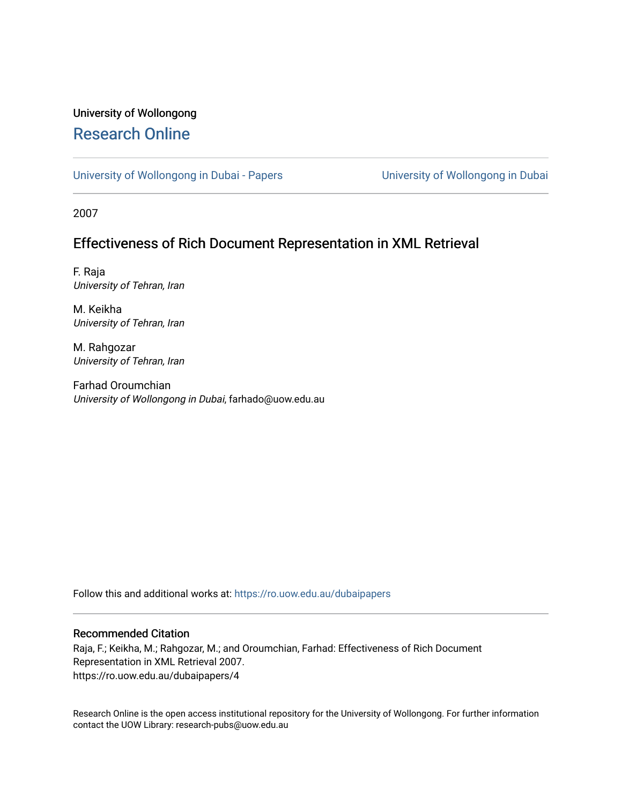# University of Wollongong [Research Online](https://ro.uow.edu.au/)

[University of Wollongong in Dubai - Papers](https://ro.uow.edu.au/dubaipapers) **University of Wollongong in Dubai** 

2007

# Effectiveness of Rich Document Representation in XML Retrieval

F. Raja University of Tehran, Iran

M. Keikha University of Tehran, Iran

M. Rahgozar University of Tehran, Iran

Farhad Oroumchian University of Wollongong in Dubai, farhado@uow.edu.au

Follow this and additional works at: [https://ro.uow.edu.au/dubaipapers](https://ro.uow.edu.au/dubaipapers?utm_source=ro.uow.edu.au%2Fdubaipapers%2F4&utm_medium=PDF&utm_campaign=PDFCoverPages) 

## Recommended Citation

Raja, F.; Keikha, M.; Rahgozar, M.; and Oroumchian, Farhad: Effectiveness of Rich Document Representation in XML Retrieval 2007. https://ro.uow.edu.au/dubaipapers/4

Research Online is the open access institutional repository for the University of Wollongong. For further information contact the UOW Library: research-pubs@uow.edu.au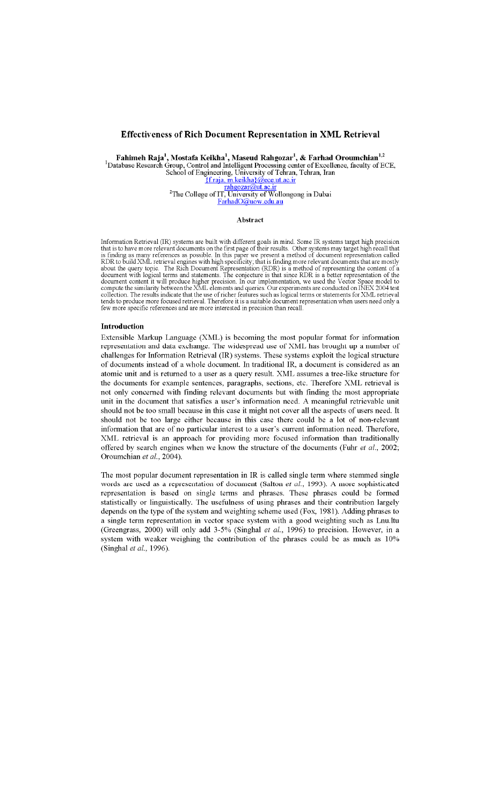# Effectiveness of Rich Document Representation in XML Retrieval

Fahimeh Raja<sup>1</sup>, Mostafa Keikha<sup>1</sup>, Maseud Rahgozar<sup>1</sup>, & Farhad Oroumchian<sup>1,2</sup> Training Nata<br>
1-Database Research Group, Control and Intelligent Processing center of Excellence, faculty of ECE,<br>
School of Engineering, University of Tehran, Tehran, Iran<br>
<u>{f.raja, mkeikha}@ece.ut.ac.ir</u> rahgozar@ut.ac.ir<br><sup>2</sup>The College of IT, University of Wollongong in Dubai <u>hgozar(</u> dut.a FarhadO@uow.edu.au

### Abstract

Information Retrieval (IR) systems are built with different goals in mind. Some IR systems target high precision<br>that is to have more relevant documents on the first page of their results. Other systems may target high rec is finding as many reterences as possible. In this paper we present a method of document representation called<br>RDR to build XML retrieval engines with high specificity; that is finding more relevant documents that are most few more specific references and are more interested in precision than recall

### Introduction

Extensible Markup Language (XML) is becoming the most popular format for information representation and data exchange. The widespread use of XML has brought up a number of challenges for Information Retrieval (IR) systems. These systems exploit the logical structure of documents instead of a whole document. In traditional IR, a document is considered as an atomic unit and is returned to a user as a query result. XML assumes a tree-like structure for the documents for example sentences, paragraphs, sections, etc. Therefore XML retrieval is not only concerned with finding relevant documents but with finding the most appropriate unit in the document that satisfies a user's information need. A meaningful retrievable unit should not be too small because in this case it might not cover all the aspects of users need. It should not be too large either because in this case there could be a lot of non-relevant information that are of no particular interest to a user's current information need. Therefore, XML retrieval is an approach for providing more focused information than traditionally offered by search engines when we know the structure of the documents (Fuhr et al., 2002; Oroumchian et al., 2004).

The most popular document representation in IR is called single term where stemmed single words are used as a representation of document (Salton et al., 1993). A more sophisticated representation is based on single terms and phrases. These phrases could be formed statistically or linguistically. The usefulness of using phrases and their contribution largely depends on the type of the system and weighting scheme used (Fox, 1981). Adding phrases to a single term representation in vector space system with a good weighting such as Lnu.ltu (Greengrass, 2000) will only add 3-5% (Singhal et al., 1996) to precision. However, in a system with weaker weighing the contribution of the phrases could be as much as 10% (Singhal et al., 1996).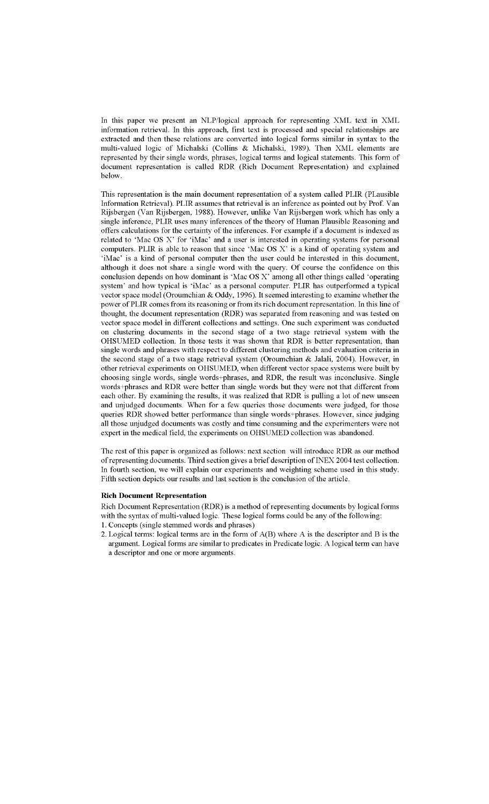In this paper we present an NLP/logical approach for representing XML text in XML information retrieval. In this approach, first text is processed and special relationships are extracted and then these relations are converted into logical forms similar in syntax to the multi-valued logic of Michalski (Collins & Michalski, 1989). Then XML elements are represented by their single words, phrases, logical terms and logical statements. This form of document representation is called RDR (Rich Document Representation) and explained helow

This representation is the main document representation of a system called PLIR (PLausible Information Retrieval). PLIR assumes that retrieval is an inference as pointed out by Prof. Van Rijsbergen (Van Rijsbergen, 1988). However, unlike Van Rijsbergen work which has only a single inference, PLIR uses many inferences of the theory of Human Plausible Reasoning and offers calculations for the certainty of the inferences. For example if a document is indexed as related to 'Mac OS X' for 'iMac' and a user is interested in operating systems for personal computers. PLIR is able to reason that since 'Mac OS X' is a kind of operating system and 'iMac' is a kind of personal computer then the user could be interested in this document, although it does not share a single word with the query. Of course the confidence on this conclusion depends on how dominant is 'Mac OS X' among all other things called 'operating system' and how typical is 'iMac' as a personal computer. PLIR has outperformed a typical vector space model (Oroumchian & Oddy, 1996). It seemed interesting to examine whether the power of PLIR comes from its reasoning or from its rich document representation. In this line of thought, the document representation (RDR) was separated from reasoning and was tested on vector space model in different collections and settings. One such experiment was conducted on clustering documents in the second stage of a two stage retrieval system with the OHSUMED collection. In those tests it was shown that RDR is better representation, than single words and phrases with respect to different clustering methods and evaluation criteria in the second stage of a two stage retrieval system (Oroumchian & Jalali, 2004). However, in other retrieval experiments on OHSUMED, when different vector space systems were built by choosing single words, single words+phrases, and RDR, the result was inconclusive. Single words+phrases and RDR were better than single words but they were not that different from each other. By examining the results, it was realized that RDR is pulling a lot of new unseen and unjudged documents. When for a few queries those documents were judged, for those queries RDR showed better performance than single words+phrases. However, since judging all those unjudged documents was costly and time consuming and the experimenters were not expert in the medical field, the experiments on OHSUMED collection was abandoned.

The rest of this paper is organized as follows: next section will introduce RDR as our method of representing documents. Third section gives a brief description of INEX 2004 test collection. In fourth section, we will explain our experiments and weighting scheme used in this study. Fifth section depicts our results and last section is the conclusion of the article.

# **Rich Document Representation**

Rich Document Representation (RDR) is a method of representing documents by logical forms with the syntax of multi-valued logic. These logical forms could be any of the following:

- 1. Concepts (single stemmed words and phrases)
- 2. Logical terms: logical terms are in the form of A(B) where A is the descriptor and B is the argument. Logical forms are similar to predicates in Predicate logic. A logical term can have a descriptor and one or more arguments.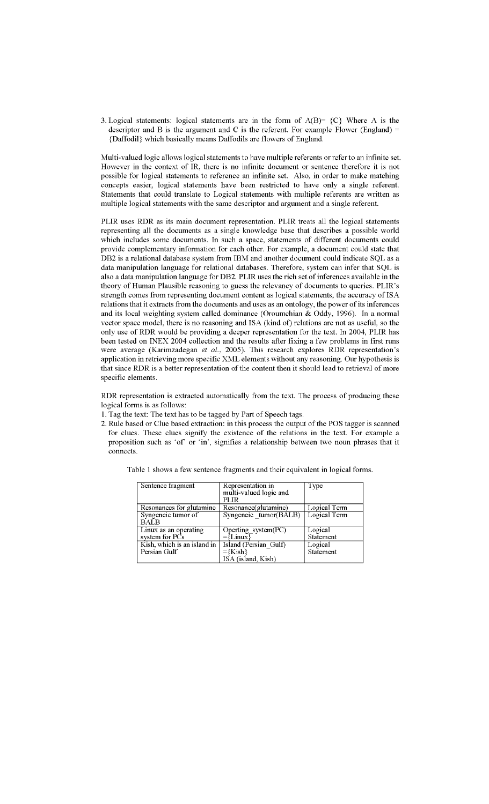3. Logical statements: logical statements are in the form of  $A(B) = \{C\}$  Where A is the descriptor and B is the argument and C is the referent. For example Flower (England)  $=$ {Daffodil} which basically means Daffodils are flowers of England.

Multi-valued logic allows logical statements to have multiple referents or refer to an infinite set. However in the context of IR, there is no infinite document or sentence therefore it is not possible for logical statements to reference an infinite set. Also, in order to make matching concepts easier, logical statements have been restricted to have only a single referent. Statements that could translate to Logical statements with multiple referents are written as multiple logical statements with the same descriptor and argument and a single referent.

PLIR uses RDR as its main document representation. PLIR treats all the logical statements representing all the documents as a single knowledge base that describes a possible world which includes some documents. In such a space, statements of different documents could provide complementary information for each other. For example, a document could state that DB2 is a relational database system from IBM and another document could indicate SQL as a data manipulation language for relational databases. Therefore, system can infer that SQL is also a data manipulation language for DB2. PLIR uses the rich set of inferences available in the theory of Human Plausible reasoning to guess the relevancy of documents to queries. PLIR's strength comes from representing document content as logical statements, the accuracy of ISA relations that it extracts from the documents and uses as an ontology, the power of its inferences and its local weighting system called dominance (Oroumchian & Oddy, 1996). In a normal vector space model, there is no reasoning and ISA (kind of) relations are not as useful, so the only use of RDR would be providing a deeper representation for the text. In 2004, PLIR has been tested on INEX 2004 collection and the results after fixing a few problems in first runs were average (Karimzadegan et al., 2005). This research explores RDR representation's application in retrieving more specific XML elements without any reasoning. Our hypothesis is that since RDR is a better representation of the content then it should lead to retrieval of more specific elements.

RDR representation is extracted automatically from the text. The process of producing these logical forms is as follows:

- 1. Tag the text: The text has to be tagged by Part of Speech tags.
- 2. Rule based or Clue based extraction: in this process the output of the POS tagger is scanned for clues. These clues signify the existence of the relations in the text. For example a proposition such as 'of' or 'in', signifies a relationship between two noun phrases that it connects.

|  |  |  |  | Table 1 shows a few sentence fragments and their equivalent in logical forms. |  |
|--|--|--|--|-------------------------------------------------------------------------------|--|
|  |  |  |  |                                                                               |  |

| Sentence fragment           | Representation in      | Type             |
|-----------------------------|------------------------|------------------|
|                             | multi-valued logic and |                  |
|                             | PLIR                   |                  |
| Resonances for glutamine    | Resonance(glutamine)   | Logical Term     |
| Syngeneic tumor of          | Syngeneic tumor(BALB)  | Logical Term     |
| BALB                        |                        |                  |
| Linux as an operating       | Operting system(PC)    | Logical          |
| system for PCs              | $=\{L{\rm inux}\}$     | <b>Statement</b> |
| Kish, which is an island in | Island (Persian Gulf)  | Logical          |
| Persian Gulf                | $=\{Kish\}$            | <b>Statement</b> |
|                             | ISA (island, Kish)     |                  |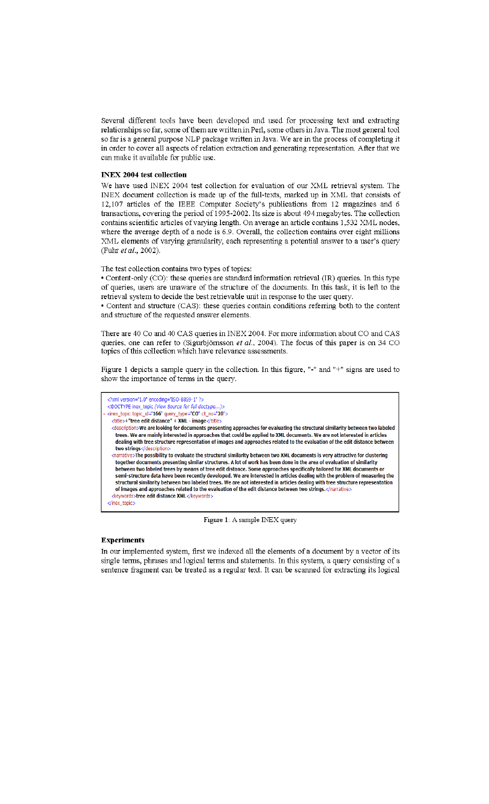Several different tools have been developed and used for processing text and extracting relationships so far, some of them are written in Perl, some others in Java. The most general tool so far is a general purpose NLP package written in Java. We are in the process of completing it in order to cover all aspects of relation extraction and generating representation. After that we can make it available for public use.

### **INEX 2004 test collection**

We have used INEX 2004 test collection for evaluation of our XML retrieval system. The INEX document collection is made up of the full-texts, marked up in XML that consists of 12,107 articles of the IEEE Computer Society's publications from 12 magazines and 6 transactions, covering the period of 1995-2002. Its size is about 494 megabytes. The collection contains scientific articles of varying length. On average an article contains 1,532 XML nodes, where the average depth of a node is 6.9. Overall, the collection contains over eight millions XML elements of varying granularity, each representing a potential answer to a user's query (Fuhr et al., 2002).

The test collection contains two types of topics:

• Content-only (CO): these queries are standard information retrieval (IR) queries. In this type of queries, users are unaware of the structure of the documents. In this task, it is left to the retrieval system to decide the best retrievable unit in response to the user query.

• Content and structure (CAS): these queries contain conditions referring both to the content and structure of the requested answer elements.

There are 40 Co and 40 CAS queries in INEX 2004. For more information about CO and CAS queries, one can refer to (Sigurbjörnsson et al., 2004). The focus of this paper is on 34 CO topics of this collection which have relevance assessments.

Figure 1 depicts a sample query in the collection. In this figure, "-" and "+" signs are used to show the importance of terms in the query.



Figure 1: A sample INEX query

### **Experiments**

In our implemented system, first we indexed all the elements of a document by a vector of its single terms, phrases and logical terms and statements. In this system, a query consisting of a sentence fragment can be treated as a regular text. It can be scanned for extracting its logical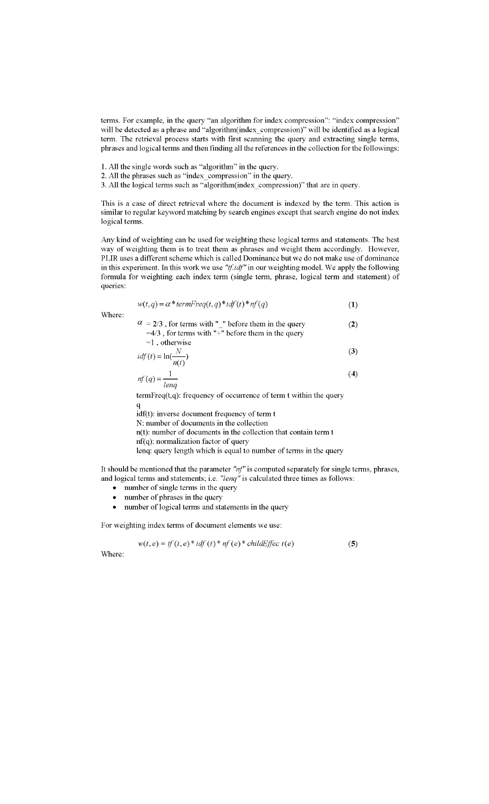terms. For example, in the query "an algorithm for index compression": "index compression" will be detected as a phrase and "algorithm(index\_compression)" will be identified as a logical term. The retrieval process starts with first scanning the query and extracting single terms, phrases and logical terms and then finding all the references in the collection for the followings:

- 1. All the single words such as "algorithm" in the query.
- 2. All the phrases such as "index\_compression" in the query.
- 3. All the logical terms such as "algorithm(index compression)" that are in query.

This is a case of direct retrieval where the document is indexed by the term. This action is similar to regular keyword matching by search engines except that search engine do not index logical terms.

Any kind of weighting can be used for weighting these logical terms and statements. The best way of weighting them is to treat them as phrases and weight them accordingly. However, PLIR uses a different scheme which is called Dominance but we do not make use of dominance in this experiment. In this work we use " $tf.idf"$  in our weighting model. We apply the following formula for weighting each index term (single term, phrase, logical term and statement) of queries:

$$
w(t,q) = \alpha * termFreq(t,q) * idf(t) * nf(q)
$$
\n(1)

Where:

| $\alpha$ = 2/3, for terms with " " before them in the query | (2) |
|-------------------------------------------------------------|-----|
| $=4/3$ , for terms with "+" before them in the query        |     |
| $=1$ , otherwise                                            |     |
| $idf(t) = \ln(\frac{N}{n(t)})$                              | (3) |

$$
nf(q) = \frac{1}{\text{lenq}}
$$
 (4)

 $termFreq(t,q)$ : frequency of occurrence of term  $t$  within the query

q

idf(t): inverse document frequency of term t N: number of documents in the collection

 $n(t)$ : number of documents in the collection that contain term t

nf(q): normalization factor of query

lenq: query length which is equal to number of terms in the query

It should be mentioned that the parameter " $nf$ " is computed separately for single terms, phrases, and logical terms and statements; i.e. "lenq" is calculated three times as follows:

- number of single terms in the query
- number of phrases in the query  $\bullet$
- number of logical terms and statements in the query

For weighting index terms of document elements we use:

$$
w(t, e) = tf(t, e) * idf(t) * nf(e) * childEffect(e)
$$

 $(5)$ 

Where: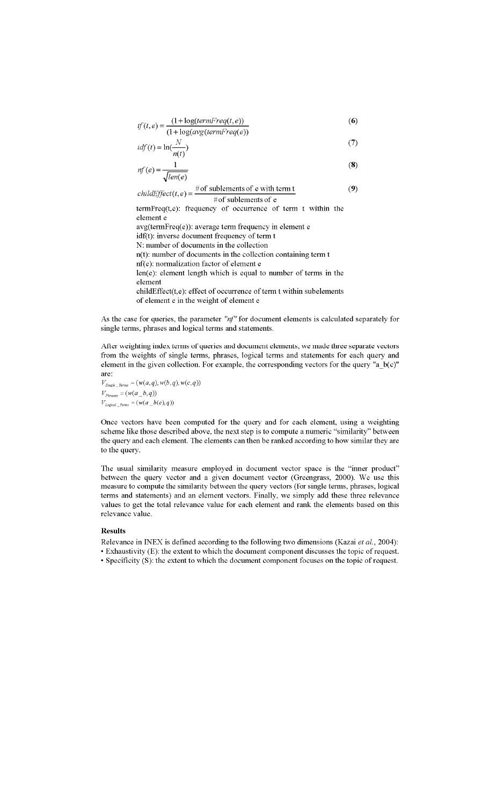$$
tf(t,e) = \frac{(1 + \log(termFreq(t,e)))}{(1 + \log(avg(termFreq(e)))}
$$
\n(6)

$$
idf(t) = \ln(\frac{N}{n(t)})
$$
\n(7)

$$
nf(e) = \frac{1}{\sqrt{len(e)}}\tag{8}
$$

childEffect(t, e) = 
$$
\frac{\text{# of sublements of e with term t}}{\text{# of sublements of e}}
$$
 (9)

termFreq(t,e): frequency of occurrence of term t within the element e avg(termFreq(e)): average term frequency in element e idf(t): inverse document frequency of term t N: number of documents in the collection n(t): number of documents in the collection containing term t nf(e): normalization factor of element e len(e): element length which is equal to number of terms in the element childEffect(t,e): effect of occurrence of term t within subelements of element e in the weight of element e

As the case for queries, the parameter " $nf''$  for document elements is calculated separately for single terms, phrases and logical terms and statements.

After weighting index terms of queries and document elements, we made three separate vectors from the weights of single terms, phrases, logical terms and statements for each query and element in the given collection. For example, the corresponding vectors for the query "a b(c)" are:

 $V_{Single\_Terms} = (w(a,q), w(b,q), w(c,q))$  $V_{\textit{Phrases}} = (w(a\_b, q))$  $V_{\text{Logical \_}Terms} = (w(a \_b(c), q))$ 

Once vectors have been computed for the query and for each element, using a weighting scheme like those described above, the next step is to compute a numeric "similarity" between the query and each element. The elements can then be ranked according to how similar they are to the query.

The usual similarity measure employed in document vector space is the "inner product" between the query vector and a given document vector (Greengrass, 2000). We use this measure to compute the similarity between the query vectors (for single terms, phrases, logical terms and statements) and an element vectors. Finally, we simply add these three relevance values to get the total relevance value for each element and rank the elements based on this relevance value.

## **Results**

Relevance in INEX is defined according to the following two dimensions (Kazai et al., 2004): • Exhaustivity (E): the extent to which the document component discusses the topic of request. • Specificity (S): the extent to which the document component focuses on the topic of request.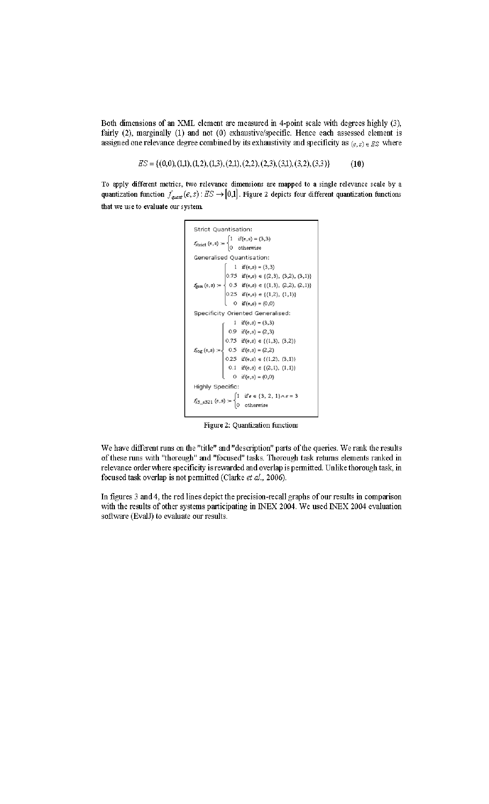Both dimensions of an XML element are measured in 4-point scale with degrees highly (3), fairly (2), marginally (1) and not (0) exhaustive/specific. Hence each assessed element is assigned one relevance degree combined by its exhaustivity and specificity as  $(e, s) \in ES$  where

> $ES = \{(0,0), (1,1), (1,2), (1,3), (2,1), (2,2), (2,3), (3,1), (3,2), (3,3)\}\$  $(10)$

To apply different metrics, two relevance dimensions are mapped to a single relevance scale by a quantization function  $f_{quant}(e, s)$ :  $ES \rightarrow [0,1]$ . Figure 2 depicts four different quantization functions that we use to evaluate our system.

```
Strict Quantisation:
 f_\text{strict}\left(e,s\right) := \begin{cases} 1 & \text{if}\left(e,s\right) = \left(3,3\right) \\ 0 & \text{otherwise} \end{cases}Generalised Quantisation:
f_{gen}(e,s) := \begin{cases} 1 & \text{if } (e,s) = (3,3) \\ 0.75 & \text{if } (e,s) \in \{2,3\}, (3,2), (3,1) \} \\ 0.5 & \text{if } (e,s) \in \{ (1,3), (2,2), (2,1) \} \\ 0.25 & \text{if } (e,s) \in \{ (1,2), (1,1) \} \\ 0 & \text{if } (e,s) = (0,0) \end{cases}Specificity Oriented Generalised:
              \int \frac{1}{1} \text{ if } (e,s) = (3,3)<br>0.9 \text{ if } (e,s) = (2,3)0.75 if (e,s) \in \{(1,3), (3,2)\}\f_{\text{log}}(e,s) := \begin{cases} 0.5 & \text{if } (e,s) = (2,2) \\ 0.25 & \text{if } (e,s) \in \{(1,2), (3,1)\} \end{cases}0.1 if (e,s) \in \{(2,1), (1,1)\}0 if (e,s) = (0,0)Highly Specific:
 f_{33\_e321}\left(\mathbf{e},\mathbf{s}\right):=\begin{cases} 1 & \text{if $\mathbf{e}\in\{3,\,2,\,1\}\wedge\mathbf{s}=3$}\\ \wedge & \end{cases}0 otherwise
```
Figure 2: Quantization functions

We have different runs on the "title" and "description" parts of the queries. We rank the results of these runs with "thorough" and "focused" tasks. Thorough task returns elements ranked in relevance order where specificity is rewarded and overlap is permitted. Unlike thorough task, in focused task overlap is not permitted (Clarke et al., 2006).

In figures 3 and 4, the red lines depict the precision-recall graphs of our results in comparison with the results of other systems participating in INEX 2004. We used INEX 2004 evaluation software (EvalJ) to evaluate our results.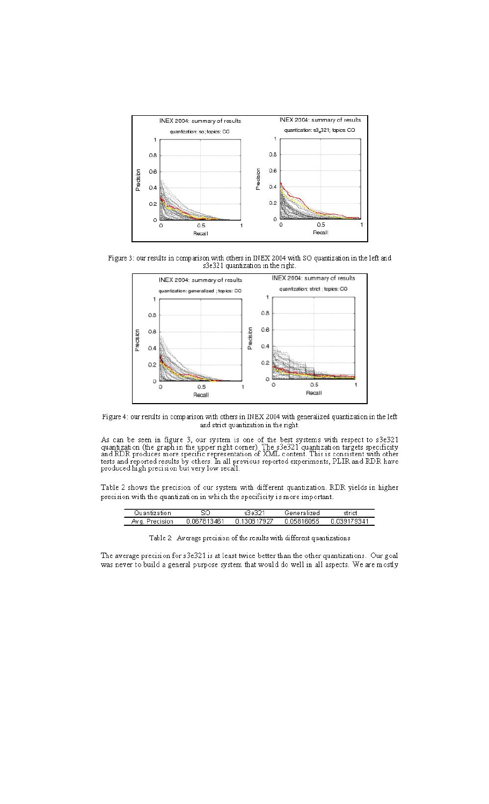

Figure 3: our results in comparison with others in INEX 2004 with SO quantization in the left and s3e321 quantization in the right.



Figure 4: our results in comparison with others in INEX 2004 with generalized quantization in the left and strict quantization in the right.

As can be seen in figure 3, our system is one of the best systems with respect to s3e321 quantization (the graph in the upper right corner). The s3e321 quantization targets specificity and RDR produces more specific repres

Table 2 shows the precision of our system with different quantization. RDR yields in higher precision with the quantization in which the specificity is more important.

| Quantization       |             |           | Generalized | st            |
|--------------------|-------------|-----------|-------------|---------------|
| Av q.<br>Precision | 0.067813461 | 130817927 | 05816055    | 9341<br>13.YO |

Table 2: Average precision of the results with different quantizations

The average precision for s3e321 is at least twice better than the other quantizations. Our goal was never to build a general purpose system that would do well in all aspects. We are mostly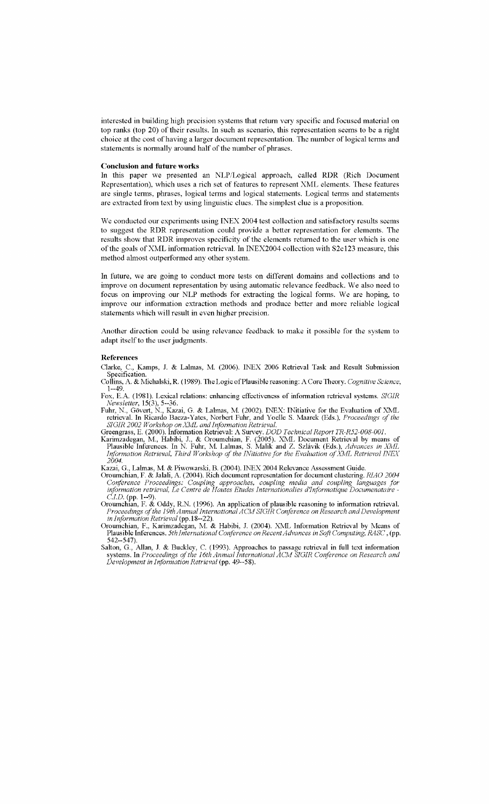interested in building high precision systems that return very specific and focused material on top ranks (top 20) of their results. In such as scenario, this representation seems to be a right choice at the cost of having a larger document representation. The number of logical terms and statements is normally around half of the number of phrases.

#### Conclusion **and future** works

In this paper we presented an NLP/Logical approach, called RDR (Rich Document Representation), which uses a rich set of features to represent XML elements. These features are single terms, phrases, logical terms and logical statements. Logical terms and statements are extracted from text by using linguistic clues. The simplest clue is a proposition.

We conducted our experiments using INEX 2004 test collection and satisfactory results seems to suggest the RDR representation could provide a better representation for elements. The results show that RDR improves specificity of the elements returned to the user which is one of the goals of XML information retrieval. In INEX2004 collection with S2e123 measure, this method almost outperformed any other system.

In future, we are going to conduct more tests on different domains and collections and to improve on document representation by using automatic relevance feedback. We also need to focus on improving our NLP methods for extracting the logical forms. Weare hoping, to improve our information extraction methods and produce better and more reliable logical statements which will result in even higher precision.

Another direction could be using relevance feedback to make it possible for the system to adapt itself to the user judgments.

#### References

Clarke, c., Kamps, 1 & Lalmas, M. (2006). INEX 2006 Retrieval Task and Result Submission Specification.

Collins, A. & Michalski, R. (1989). The Logic ofPlausible reasoning: A Core Theory. *Cognitive Science,* 1--49.

Fox, E.A. (1981). Lexical relations: enhancing effectiveness of information retrieval systems. *SIGIR Newsletter,* 15(3), 5--36.

Fuhr, N., Gövert, N., Kazai, G. & Lalmas, M. (2002). INEX: INitiative for the Evaluation of XML retrieval. In Ricardo Baeza-Yates, Norbert Fuhr, and Yoelle S. Maarek (Eds.), Proceedings of the *SIGIR 2002 Workshop on Xkdl. and Information Retrieval.*

Greengrass, E. (2000). Information Retrieval: A Survey. *DOD Technical Report TR-R52-008-001.*

Karimzadegan, M., Habibi, 1, & Oroumchian, F. (2005). XML Document Retrieval by means of Plausible Inferences. In N. Fuhr, M. Lalmas, S. Malik and Z. Szlávik (Eds.), Advances in XML<br>Information Retrieval, Third Workshop of the INitiative for the Evaluation of XML Retrieval INEX *2004.*

Kazai, G., Lalmas, M. & Piwowarski, B. (2004). INEX 2004 Relevance Assessment Guide.

- Oroumchian, F. & Jalali, A. (2004). Rich document representation for document clustering. *RlAO 2004 Conference Proceedings: Coupling approaches, coupling media and coupling languages for information retrieval, Le Centre de Hautes Etudes lnternationalies d'Informatique Documenataire - C.l.D.* (pp. 1--9).
- Oroumchian, F. & Oddy, R.N. (1996). An application of plausible reasoning to information retrieval. *Proceedings ofthe 19thAnnual International ACMSIGIR Conference on Research and Development in Information Retrieval* (pp.18--22).
- Oroumchian, F., Karimzadegan, M. & Habibi, J. (2004). XML Information Retrieval by Means of Plausible Inferences. *5th International Conference onRecentAdvances in Soft Computing. RASC* , (pp. 542--547).
- Salton, G., Allan, 1 & Buckley, C. (1993). Approaches to passage retrieval in full text information systems. In *Proceedings ofthe 16th Annual International ACM SIGIR Conference on Research and Development in lnformation Retrieval* (pp. 49--58).